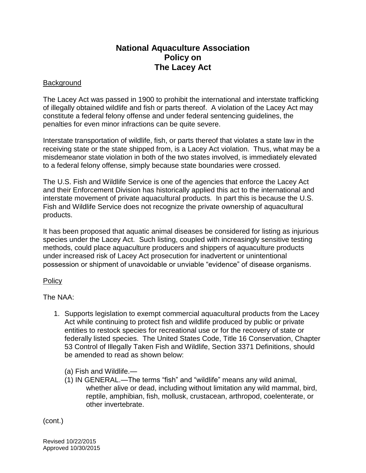## **National Aquaculture Association Policy on The Lacey Act**

## **Background**

The Lacey Act was passed in 1900 to prohibit the international and interstate trafficking of illegally obtained wildlife and fish or parts thereof. A violation of the Lacey Act may constitute a federal felony offense and under federal sentencing guidelines, the penalties for even minor infractions can be quite severe.

Interstate transportation of wildlife, fish, or parts thereof that violates a state law in the receiving state or the state shipped from, is a Lacey Act violation. Thus, what may be a misdemeanor state violation in both of the two states involved, is immediately elevated to a federal felony offense, simply because state boundaries were crossed.

The U.S. Fish and Wildlife Service is one of the agencies that enforce the Lacey Act and their Enforcement Division has historically applied this act to the international and interstate movement of private aquacultural products. In part this is because the U.S. Fish and Wildlife Service does not recognize the private ownership of aquacultural products.

It has been proposed that aquatic animal diseases be considered for listing as injurious species under the Lacey Act. Such listing, coupled with increasingly sensitive testing methods, could place aquaculture producers and shippers of aquaculture products under increased risk of Lacey Act prosecution for inadvertent or unintentional possession or shipment of unavoidable or unviable "evidence" of disease organisms.

## **Policy**

The NAA:

- 1. Supports legislation to exempt commercial aquacultural products from the Lacey Act while continuing to protect fish and wildlife produced by public or private entities to restock species for recreational use or for the recovery of state or federally listed species. The United States Code, Title 16 Conservation, Chapter 53 Control of Illegally Taken Fish and Wildlife, Section 3371 Definitions, should be amended to read as shown below:
	- (a) Fish and Wildlife.—
	- (1) IN GENERAL.—The terms "fish" and "wildlife" means any wild animal, whether alive or dead, including without limitation any wild mammal, bird, reptile, amphibian, fish, mollusk, crustacean, arthropod, coelenterate, or other invertebrate.

(cont.)